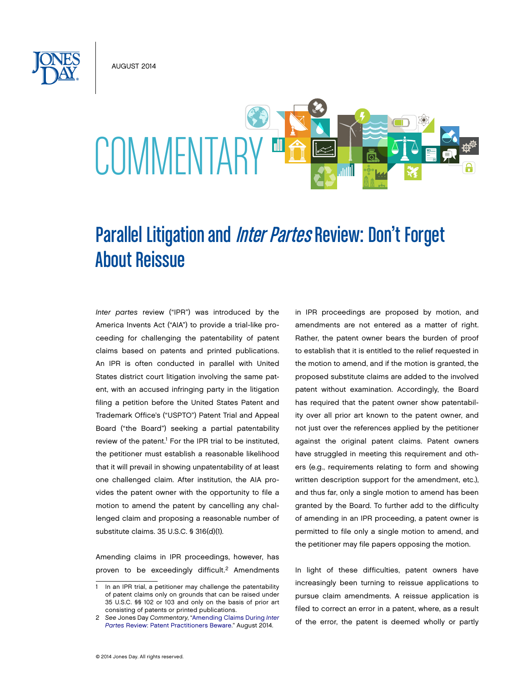August 2014



# Parallel Litigation and *Inter Partes* Review: Don't Forget About Reissue

*Inter partes* review ("IPR") was introduced by the America Invents Act ("AIA") to provide a trial-like proceeding for challenging the patentability of patent claims based on patents and printed publications. An IPR is often conducted in parallel with United States district court litigation involving the same patent, with an accused infringing party in the litigation filing a petition before the United States Patent and Trademark Office's ("USPTO") Patent Trial and Appeal Board ("the Board") seeking a partial patentability review of the patent.<sup>1</sup> For the IPR trial to be instituted, the petitioner must establish a reasonable likelihood that it will prevail in showing unpatentability of at least one challenged claim. After institution, the AIA provides the patent owner with the opportunity to file a motion to amend the patent by cancelling any challenged claim and proposing a reasonable number of substitute claims. 35 U.S.C. § 316(d)(1).

Amending claims in IPR proceedings, however, has proven to be exceedingly difficult.<sup>2</sup> Amendments in IPR proceedings are proposed by motion, and amendments are not entered as a matter of right. Rather, the patent owner bears the burden of proof to establish that it is entitled to the relief requested in the motion to amend, and if the motion is granted, the proposed substitute claims are added to the involved patent without examination. Accordingly, the Board has required that the patent owner show patentability over all prior art known to the patent owner, and not just over the references applied by the petitioner against the original patent claims. Patent owners have struggled in meeting this requirement and others (e.g., requirements relating to form and showing written description support for the amendment, etc.), and thus far, only a single motion to amend has been granted by the Board. To further add to the difficulty of amending in an IPR proceeding, a patent owner is permitted to file only a single motion to amend, and the petitioner may file papers opposing the motion.

In light of these difficulties, patent owners have increasingly been turning to reissue applications to pursue claim amendments. A reissue application is filed to correct an error in a patent, where, as a result of the error, the patent is deemed wholly or partly

In an IPR trial, a petitioner may challenge the patentability of patent claims only on grounds that can be raised under 35 U.S.C. §§ 102 or 103 and only on the basis of prior art consisting of patents or printed publications.

<sup>2</sup> *See* Jones Day *Commentary*, "Amending Claims During *Inter Partes* [Review: Patent Practitioners Beware." August 2014.](http://www.jonesday.com/Amending-Claims-During-Inter-Partes-Review-Patent-Practitioners-Beware-08-05-2014)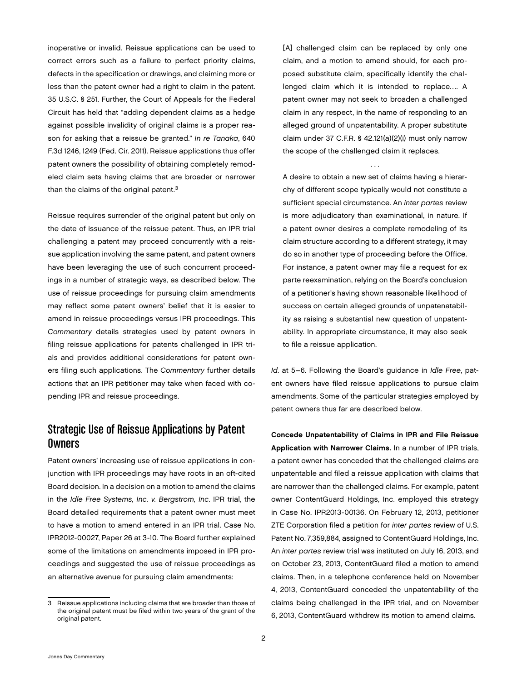inoperative or invalid. Reissue applications can be used to correct errors such as a failure to perfect priority claims, defects in the specification or drawings, and claiming more or less than the patent owner had a right to claim in the patent. 35 U.S.C. § 251. Further, the Court of Appeals for the Federal Circuit has held that "adding dependent claims as a hedge against possible invalidity of original claims is a proper reason for asking that a reissue be granted." *In re Tanaka*, 640 F.3d 1246, 1249 (Fed. Cir. 2011). Reissue applications thus offer patent owners the possibility of obtaining completely remodeled claim sets having claims that are broader or narrower than the claims of the original patent.<sup>3</sup>

Reissue requires surrender of the original patent but only on the date of issuance of the reissue patent. Thus, an IPR trial challenging a patent may proceed concurrently with a reissue application involving the same patent, and patent owners have been leveraging the use of such concurrent proceedings in a number of strategic ways, as described below. The use of reissue proceedings for pursuing claim amendments may reflect some patent owners' belief that it is easier to amend in reissue proceedings versus IPR proceedings. This *Commentary* details strategies used by patent owners in filing reissue applications for patents challenged in IPR trials and provides additional considerations for patent owners filing such applications. The *Commentary* further details actions that an IPR petitioner may take when faced with copending IPR and reissue proceedings.

# Strategic Use of Reissue Applications by Patent Owners

Patent owners' increasing use of reissue applications in conjunction with IPR proceedings may have roots in an oft-cited Board decision. In a decision on a motion to amend the claims in the *Idle Free Systems, Inc. v. Bergstrom, Inc*. IPR trial, the Board detailed requirements that a patent owner must meet to have a motion to amend entered in an IPR trial. Case No. IPR2012-00027, Paper 26 at 3-10. The Board further explained some of the limitations on amendments imposed in IPR proceedings and suggested the use of reissue proceedings as an alternative avenue for pursuing claim amendments:

[A] challenged claim can be replaced by only one claim, and a motion to amend should, for each proposed substitute claim, specifically identify the challenged claim which it is intended to replace…. A patent owner may not seek to broaden a challenged claim in any respect, in the name of responding to an alleged ground of unpatentability. A proper substitute claim under 37 C.F.R. § 42.121(a)(2)(i) must only narrow the scope of the challenged claim it replaces.

. . .

A desire to obtain a new set of claims having a hierarchy of different scope typically would not constitute a sufficient special circumstance. An *inter partes* review is more adjudicatory than examinational, in nature. If a patent owner desires a complete remodeling of its claim structure according to a different strategy, it may do so in another type of proceeding before the Office. For instance, a patent owner may file a request for ex parte reexamination, relying on the Board's conclusion of a petitioner's having shown reasonable likelihood of success on certain alleged grounds of unpatenatability as raising a substantial new question of unpatentability. In appropriate circumstance, it may also seek to file a reissue application.

*Id*. at 5–6. Following the Board's guidance in *Idle Free*, patent owners have filed reissue applications to pursue claim amendments. Some of the particular strategies employed by patent owners thus far are described below.

Concede Unpatentability of Claims in IPR and File Reissue Application with Narrower Claims. In a number of IPR trials, a patent owner has conceded that the challenged claims are unpatentable and filed a reissue application with claims that are narrower than the challenged claims. For example, patent owner ContentGuard Holdings, Inc. employed this strategy in Case No. IPR2013-00136. On February 12, 2013, petitioner ZTE Corporation filed a petition for *inter partes* review of U.S. Patent No. 7,359,884, assigned to ContentGuard Holdings, Inc. An *inter partes* review trial was instituted on July 16, 2013, and on October 23, 2013, ContentGuard filed a motion to amend claims. Then, in a telephone conference held on November 4, 2013, ContentGuard conceded the unpatentability of the claims being challenged in the IPR trial, and on November 6, 2013, ContentGuard withdrew its motion to amend claims.

<sup>3</sup> Reissue applications including claims that are broader than those of the original patent must be filed within two years of the grant of the original patent.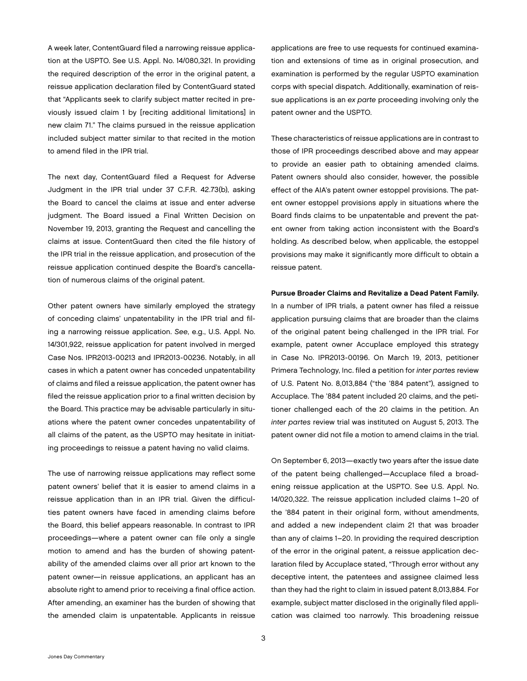A week later, ContentGuard filed a narrowing reissue application at the USPTO. See U.S. Appl. No. 14/080,321. In providing the required description of the error in the original patent, a reissue application declaration filed by ContentGuard stated that "Applicants seek to clarify subject matter recited in previously issued claim 1 by [reciting additional limitations] in new claim 71." The claims pursued in the reissue application included subject matter similar to that recited in the motion to amend filed in the IPR trial.

The next day, ContentGuard filed a Request for Adverse Judgment in the IPR trial under 37 C.F.R. 42.73(b), asking the Board to cancel the claims at issue and enter adverse judgment. The Board issued a Final Written Decision on November 19, 2013, granting the Request and cancelling the claims at issue. ContentGuard then cited the file history of the IPR trial in the reissue application, and prosecution of the reissue application continued despite the Board's cancellation of numerous claims of the original patent.

Other patent owners have similarly employed the strategy of conceding claims' unpatentability in the IPR trial and filing a narrowing reissue application. *See*, e.g., U.S. Appl. No. 14/301,922, reissue application for patent involved in merged Case Nos. IPR2013-00213 and IPR2013-00236. Notably, in all cases in which a patent owner has conceded unpatentability of claims and filed a reissue application, the patent owner has filed the reissue application prior to a final written decision by the Board. This practice may be advisable particularly in situations where the patent owner concedes unpatentability of all claims of the patent, as the USPTO may hesitate in initiating proceedings to reissue a patent having no valid claims.

The use of narrowing reissue applications may reflect some patent owners' belief that it is easier to amend claims in a reissue application than in an IPR trial. Given the difficulties patent owners have faced in amending claims before the Board, this belief appears reasonable. In contrast to IPR proceedings—where a patent owner can file only a single motion to amend and has the burden of showing patentability of the amended claims over all prior art known to the patent owner—in reissue applications, an applicant has an absolute right to amend prior to receiving a final office action. After amending, an examiner has the burden of showing that the amended claim is unpatentable. Applicants in reissue

applications are free to use requests for continued examination and extensions of time as in original prosecution, and examination is performed by the regular USPTO examination corps with special dispatch. Additionally, examination of reissue applications is an *ex parte* proceeding involving only the patent owner and the USPTO.

These characteristics of reissue applications are in contrast to those of IPR proceedings described above and may appear to provide an easier path to obtaining amended claims. Patent owners should also consider, however, the possible effect of the AIA's patent owner estoppel provisions. The patent owner estoppel provisions apply in situations where the Board finds claims to be unpatentable and prevent the patent owner from taking action inconsistent with the Board's holding. As described below, when applicable, the estoppel provisions may make it significantly more difficult to obtain a reissue patent.

#### Pursue Broader Claims and Revitalize a Dead Patent Family.

In a number of IPR trials, a patent owner has filed a reissue application pursuing claims that are broader than the claims of the original patent being challenged in the IPR trial. For example, patent owner Accuplace employed this strategy in Case No. IPR2013-00196. On March 19, 2013, petitioner Primera Technology, Inc. filed a petition for *inter partes* review of U.S. Patent No. 8,013,884 ("the '884 patent"), assigned to Accuplace. The '884 patent included 20 claims, and the petitioner challenged each of the 20 claims in the petition. An *inter partes* review trial was instituted on August 5, 2013. The patent owner did not file a motion to amend claims in the trial.

On September 6, 2013—exactly two years after the issue date of the patent being challenged—Accuplace filed a broadening reissue application at the USPTO. See U.S. Appl. No. 14/020,322. The reissue application included claims 1–20 of the '884 patent in their original form, without amendments, and added a new independent claim 21 that was broader than any of claims 1–20. In providing the required description of the error in the original patent, a reissue application declaration filed by Accuplace stated, "Through error without any deceptive intent, the patentees and assignee claimed less than they had the right to claim in issued patent 8,013,884. For example, subject matter disclosed in the originally filed application was claimed too narrowly. This broadening reissue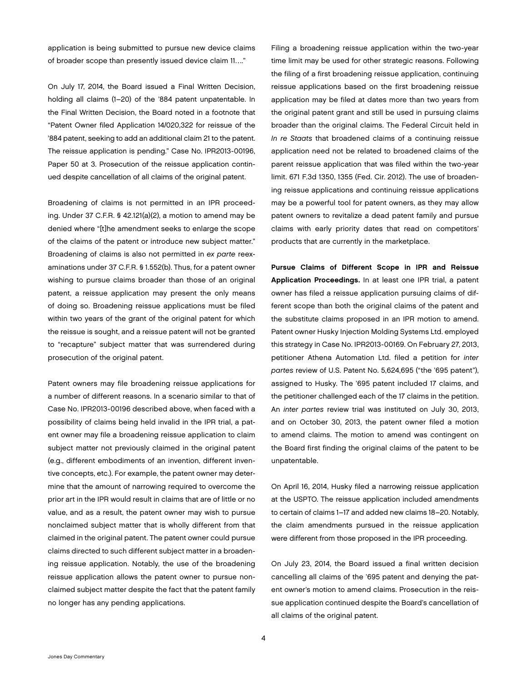application is being submitted to pursue new device claims of broader scope than presently issued device claim 11…."

On July 17, 2014, the Board issued a Final Written Decision, holding all claims (1–20) of the '884 patent unpatentable. In the Final Written Decision, the Board noted in a footnote that "Patent Owner filed Application 14/020,322 for reissue of the '884 patent, seeking to add an additional claim 21 to the patent. The reissue application is pending." Case No. IPR2013-00196, Paper 50 at 3. Prosecution of the reissue application continued despite cancellation of all claims of the original patent.

Broadening of claims is not permitted in an IPR proceeding. Under 37 C.F.R. § 42.121(a)(2), a motion to amend may be denied where "[t]he amendment seeks to enlarge the scope of the claims of the patent or introduce new subject matter." Broadening of claims is also not permitted in *ex parte* reexaminations under 37 C.F.R. § 1.552(b). Thus, for a patent owner wishing to pursue claims broader than those of an original patent, a reissue application may present the only means of doing so. Broadening reissue applications must be filed within two years of the grant of the original patent for which the reissue is sought, and a reissue patent will not be granted to "recapture" subject matter that was surrendered during prosecution of the original patent.

Patent owners may file broadening reissue applications for a number of different reasons. In a scenario similar to that of Case No. IPR2013-00196 described above, when faced with a possibility of claims being held invalid in the IPR trial, a patent owner may file a broadening reissue application to claim subject matter not previously claimed in the original patent (e.g., different embodiments of an invention, different inventive concepts, etc.). For example, the patent owner may determine that the amount of narrowing required to overcome the prior art in the IPR would result in claims that are of little or no value, and as a result, the patent owner may wish to pursue nonclaimed subject matter that is wholly different from that claimed in the original patent. The patent owner could pursue claims directed to such different subject matter in a broadening reissue application. Notably, the use of the broadening reissue application allows the patent owner to pursue nonclaimed subject matter despite the fact that the patent family no longer has any pending applications.

Filing a broadening reissue application within the two-year time limit may be used for other strategic reasons. Following the filing of a first broadening reissue application, continuing reissue applications based on the first broadening reissue application may be filed at dates more than two years from the original patent grant and still be used in pursuing claims broader than the original claims. The Federal Circuit held in *In re Staats* that broadened claims of a continuing reissue application need not be related to broadened claims of the parent reissue application that was filed within the two-year limit. 671 F.3d 1350, 1355 (Fed. Cir. 2012). The use of broadening reissue applications and continuing reissue applications may be a powerful tool for patent owners, as they may allow patent owners to revitalize a dead patent family and pursue claims with early priority dates that read on competitors' products that are currently in the marketplace.

Pursue Claims of Different Scope in IPR and Reissue Application Proceedings. In at least one IPR trial, a patent owner has filed a reissue application pursuing claims of different scope than both the original claims of the patent and the substitute claims proposed in an IPR motion to amend. Patent owner Husky Injection Molding Systems Ltd. employed this strategy in Case No. IPR2013-00169. On February 27, 2013, petitioner Athena Automation Ltd. filed a petition for *inter partes* review of U.S. Patent No. 5,624,695 ("the '695 patent"), assigned to Husky. The '695 patent included 17 claims, and the petitioner challenged each of the 17 claims in the petition. An *inter partes* review trial was instituted on July 30, 2013, and on October 30, 2013, the patent owner filed a motion to amend claims. The motion to amend was contingent on the Board first finding the original claims of the patent to be unpatentable.

On April 16, 2014, Husky filed a narrowing reissue application at the USPTO. The reissue application included amendments to certain of claims 1–17 and added new claims 18–20. Notably, the claim amendments pursued in the reissue application were different from those proposed in the IPR proceeding.

On July 23, 2014, the Board issued a final written decision cancelling all claims of the '695 patent and denying the patent owner's motion to amend claims. Prosecution in the reissue application continued despite the Board's cancellation of all claims of the original patent.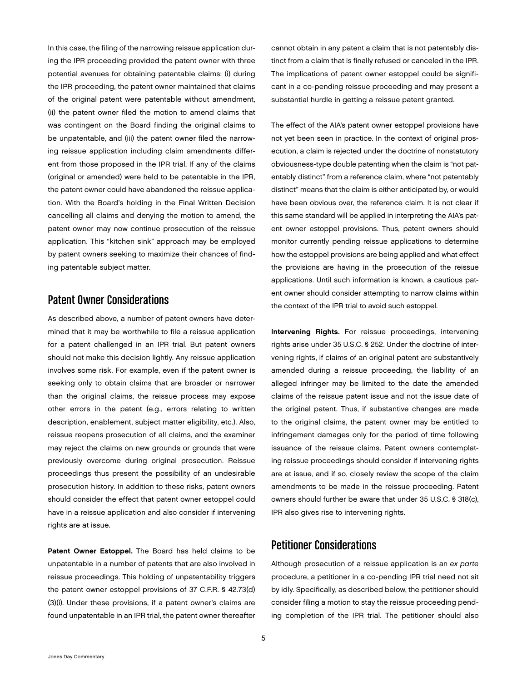In this case, the filing of the narrowing reissue application during the IPR proceeding provided the patent owner with three potential avenues for obtaining patentable claims: (i) during the IPR proceeding, the patent owner maintained that claims of the original patent were patentable without amendment, (ii) the patent owner filed the motion to amend claims that was contingent on the Board finding the original claims to be unpatentable, and (iii) the patent owner filed the narrowing reissue application including claim amendments different from those proposed in the IPR trial. If any of the claims (original or amended) were held to be patentable in the IPR, the patent owner could have abandoned the reissue application. With the Board's holding in the Final Written Decision cancelling all claims and denying the motion to amend, the patent owner may now continue prosecution of the reissue application. This "kitchen sink" approach may be employed by patent owners seeking to maximize their chances of finding patentable subject matter.

# Patent Owner Considerations

As described above, a number of patent owners have determined that it may be worthwhile to file a reissue application for a patent challenged in an IPR trial. But patent owners should not make this decision lightly. Any reissue application involves some risk. For example, even if the patent owner is seeking only to obtain claims that are broader or narrower than the original claims, the reissue process may expose other errors in the patent (e.g., errors relating to written description, enablement, subject matter eligibility, etc.). Also, reissue reopens prosecution of all claims, and the examiner may reject the claims on new grounds or grounds that were previously overcome during original prosecution. Reissue proceedings thus present the possibility of an undesirable prosecution history. In addition to these risks, patent owners should consider the effect that patent owner estoppel could have in a reissue application and also consider if intervening rights are at issue.

Patent Owner Estoppel. The Board has held claims to be unpatentable in a number of patents that are also involved in reissue proceedings. This holding of unpatentability triggers the patent owner estoppel provisions of 37 C.F.R. § 42.73(d) (3)(i). Under these provisions, if a patent owner's claims are found unpatentable in an IPR trial, the patent owner thereafter

cannot obtain in any patent a claim that is not patentably distinct from a claim that is finally refused or canceled in the IPR. The implications of patent owner estoppel could be significant in a co-pending reissue proceeding and may present a substantial hurdle in getting a reissue patent granted.

The effect of the AIA's patent owner estoppel provisions have not yet been seen in practice. In the context of original prosecution, a claim is rejected under the doctrine of nonstatutory obviousness-type double patenting when the claim is "not patentably distinct" from a reference claim, where "not patentably distinct" means that the claim is either anticipated by, or would have been obvious over, the reference claim. It is not clear if this same standard will be applied in interpreting the AIA's patent owner estoppel provisions. Thus, patent owners should monitor currently pending reissue applications to determine how the estoppel provisions are being applied and what effect the provisions are having in the prosecution of the reissue applications. Until such information is known, a cautious patent owner should consider attempting to narrow claims within the context of the IPR trial to avoid such estoppel.

Intervening Rights. For reissue proceedings, intervening rights arise under 35 U.S.C. § 252. Under the doctrine of intervening rights, if claims of an original patent are substantively amended during a reissue proceeding, the liability of an alleged infringer may be limited to the date the amended claims of the reissue patent issue and not the issue date of the original patent. Thus, if substantive changes are made to the original claims, the patent owner may be entitled to infringement damages only for the period of time following issuance of the reissue claims. Patent owners contemplating reissue proceedings should consider if intervening rights are at issue, and if so, closely review the scope of the claim amendments to be made in the reissue proceeding. Patent owners should further be aware that under 35 U.S.C. § 318(c), IPR also gives rise to intervening rights.

## Petitioner Considerations

Although prosecution of a reissue application is an *ex parte* procedure, a petitioner in a co-pending IPR trial need not sit by idly. Specifically, as described below, the petitioner should consider filing a motion to stay the reissue proceeding pending completion of the IPR trial. The petitioner should also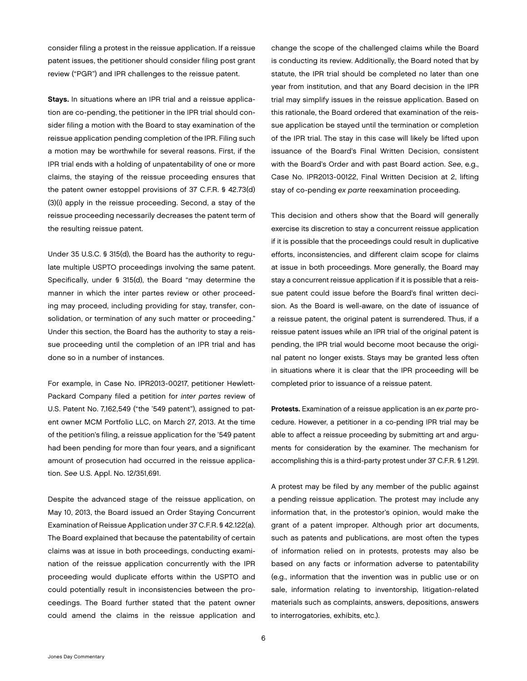consider filing a protest in the reissue application. If a reissue patent issues, the petitioner should consider filing post grant review ("PGR") and IPR challenges to the reissue patent.

Stays. In situations where an IPR trial and a reissue application are co-pending, the petitioner in the IPR trial should consider filing a motion with the Board to stay examination of the reissue application pending completion of the IPR. Filing such a motion may be worthwhile for several reasons. First, if the IPR trial ends with a holding of unpatentability of one or more claims, the staying of the reissue proceeding ensures that the patent owner estoppel provisions of 37 C.F.R. § 42.73(d) (3)(i) apply in the reissue proceeding. Second, a stay of the reissue proceeding necessarily decreases the patent term of the resulting reissue patent.

Under 35 U.S.C. § 315(d), the Board has the authority to regulate multiple USPTO proceedings involving the same patent. Specifically, under § 315(d), the Board "may determine the manner in which the inter partes review or other proceeding may proceed, including providing for stay, transfer, consolidation, or termination of any such matter or proceeding." Under this section, the Board has the authority to stay a reissue proceeding until the completion of an IPR trial and has done so in a number of instances.

For example, in Case No. IPR2013-00217, petitioner Hewlett-Packard Company filed a petition for *inter partes* review of U.S. Patent No. 7,162,549 ("the '549 patent"), assigned to patent owner MCM Portfolio LLC, on March 27, 2013. At the time of the petition's filing, a reissue application for the '549 patent had been pending for more than four years, and a significant amount of prosecution had occurred in the reissue application. *See* U.S. Appl. No. 12/351,691.

Despite the advanced stage of the reissue application, on May 10, 2013, the Board issued an Order Staying Concurrent Examination of Reissue Application under 37 C.F.R. § 42.122(a). The Board explained that because the patentability of certain claims was at issue in both proceedings, conducting examination of the reissue application concurrently with the IPR proceeding would duplicate efforts within the USPTO and could potentially result in inconsistencies between the proceedings. The Board further stated that the patent owner could amend the claims in the reissue application and

change the scope of the challenged claims while the Board is conducting its review. Additionally, the Board noted that by statute, the IPR trial should be completed no later than one year from institution, and that any Board decision in the IPR trial may simplify issues in the reissue application. Based on this rationale, the Board ordered that examination of the reissue application be stayed until the termination or completion of the IPR trial. The stay in this case will likely be lifted upon issuance of the Board's Final Written Decision, consistent with the Board's Order and with past Board action. *See*, e.g., Case No. IPR2013-00122, Final Written Decision at 2, lifting stay of co-pending *ex parte* reexamination proceeding.

This decision and others show that the Board will generally exercise its discretion to stay a concurrent reissue application if it is possible that the proceedings could result in duplicative efforts, inconsistencies, and different claim scope for claims at issue in both proceedings. More generally, the Board may stay a concurrent reissue application if it is possible that a reissue patent could issue before the Board's final written decision. As the Board is well-aware, on the date of issuance of a reissue patent, the original patent is surrendered. Thus, if a reissue patent issues while an IPR trial of the original patent is pending, the IPR trial would become moot because the original patent no longer exists. Stays may be granted less often in situations where it is clear that the IPR proceeding will be completed prior to issuance of a reissue patent.

Protests. Examination of a reissue application is an *ex parte* procedure. However, a petitioner in a co-pending IPR trial may be able to affect a reissue proceeding by submitting art and arguments for consideration by the examiner. The mechanism for accomplishing this is a third-party protest under 37 C.F.R. § 1.291.

A protest may be filed by any member of the public against a pending reissue application. The protest may include any information that, in the protestor's opinion, would make the grant of a patent improper. Although prior art documents, such as patents and publications, are most often the types of information relied on in protests, protests may also be based on any facts or information adverse to patentability (e.g., information that the invention was in public use or on sale, information relating to inventorship, litigation-related materials such as complaints, answers, depositions, answers to interrogatories, exhibits, etc.).